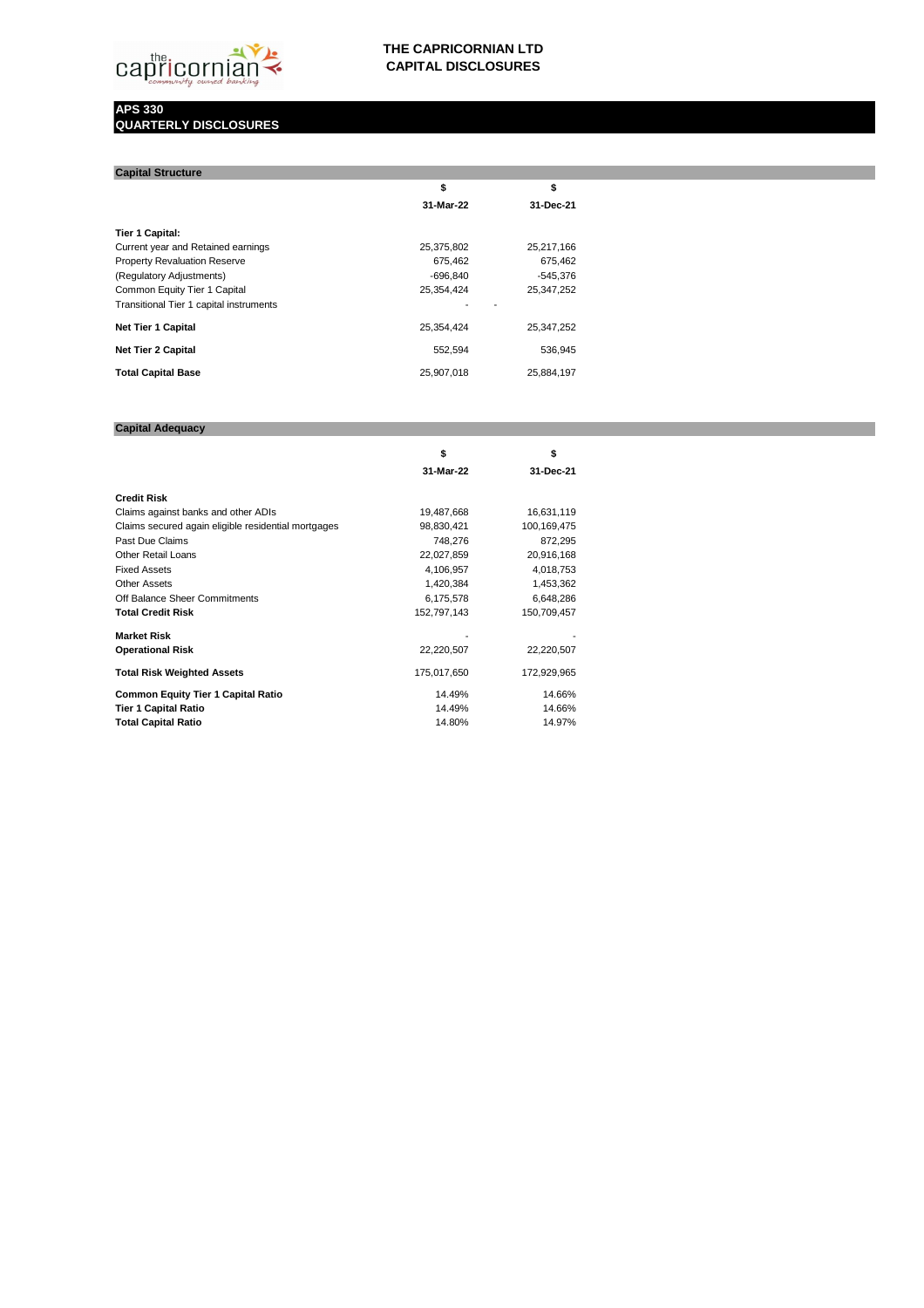### **APS 330 QUARTERLY DISCLOSURES**

| <b>Capital Structure</b>                |            |              |
|-----------------------------------------|------------|--------------|
|                                         | \$         | \$           |
|                                         | 31-Mar-22  | 31-Dec-21    |
| Tier 1 Capital:                         |            |              |
| Current year and Retained earnings      | 25,375,802 | 25,217,166   |
| <b>Property Revaluation Reserve</b>     | 675,462    | 675,462      |
| (Regulatory Adjustments)                | -696,840   | $-545,376$   |
| Common Equity Tier 1 Capital            | 25,354,424 | 25, 347, 252 |
| Transitional Tier 1 capital instruments |            |              |
| <b>Net Tier 1 Capital</b>               | 25,354,424 | 25, 347, 252 |
| <b>Net Tier 2 Capital</b>               | 552,594    | 536,945      |
| <b>Total Capital Base</b>               | 25,907,018 | 25,884,197   |

## **Capital Adequacy**

|                                                     | \$          | \$          |  |
|-----------------------------------------------------|-------------|-------------|--|
|                                                     | 31-Mar-22   | 31-Dec-21   |  |
| <b>Credit Risk</b>                                  |             |             |  |
| Claims against banks and other ADIs                 | 19,487,668  | 16,631,119  |  |
| Claims secured again eligible residential mortgages | 98,830,421  | 100,169,475 |  |
| Past Due Claims                                     | 748,276     | 872,295     |  |
| <b>Other Retail Loans</b>                           | 22,027,859  | 20,916,168  |  |
| <b>Fixed Assets</b>                                 | 4,106,957   | 4,018,753   |  |
| <b>Other Assets</b>                                 | 1,420,384   | 1,453,362   |  |
| Off Balance Sheer Commitments                       | 6,175,578   | 6,648,286   |  |
| <b>Total Credit Risk</b>                            | 152,797,143 | 150,709,457 |  |
| <b>Market Risk</b>                                  |             |             |  |
| <b>Operational Risk</b>                             | 22,220,507  | 22,220,507  |  |
| <b>Total Risk Weighted Assets</b>                   | 175,017,650 | 172,929,965 |  |
| <b>Common Equity Tier 1 Capital Ratio</b>           | 14.49%      | 14.66%      |  |
| <b>Tier 1 Capital Ratio</b>                         | 14.49%      | 14.66%      |  |
| <b>Total Capital Ratio</b>                          | 14.80%      | 14.97%      |  |



# **THE CAPRICORNIAN LTD CAPITAL DISCLOSURES**